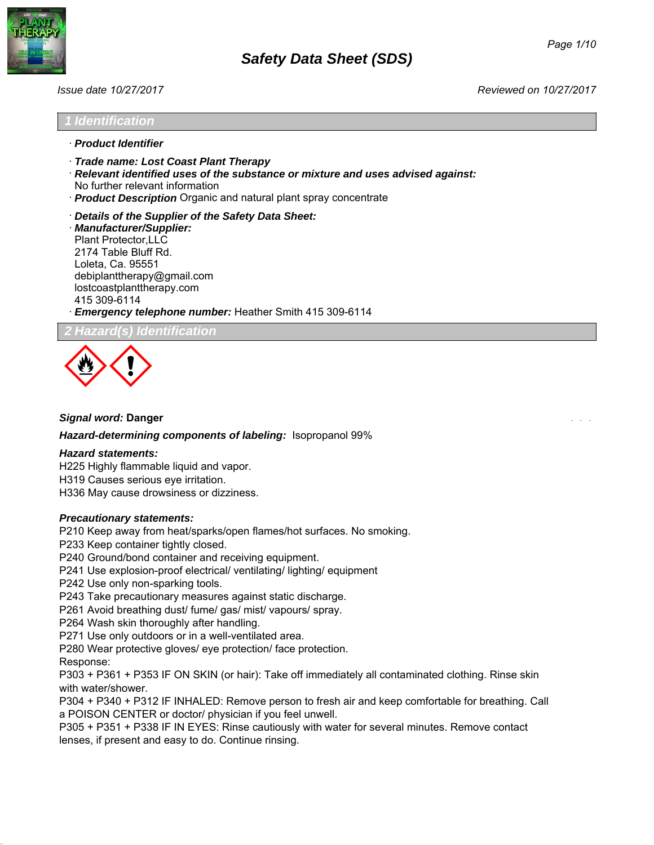

### *1 Identification*

- · *Product Identifier*
- · *Trade name: Lost Coast Plant Therapy*
- · *Relevant identified uses of the substance or mixture and uses advised against:* No further relevant information
- · *Product Description* Organic and natural plant spray concentrate
- · *Details of the Supplier of the Safety Data Sheet:* · *Manufacturer/Supplier:* Plant Protector,LLC 2174 Table Bluff Rd.

Loleta, Ca. 95551 debiplanttherapy@gmail.com lostcoastplanttherapy.com 415 309-6114

· *Emergency telephone number:* 1-800-467-4922

*2 Hazard(s) Identification*



### *Signal word:* **Danger**

*Hazard-determining components of labeling:* Isopropanol 99%

### *Hazard statements:*

H225 Highly flammable liquid and vapor.

H319 Causes serious eye irritation.

H336 May cause drowsiness or dizziness.

### *Precautionary statements:*

P210 Keep away from heat/sparks/open flames/hot surfaces. No smoking.

P233 Keep container tightly closed.

P240 Ground/bond container and receiving equipment.

P241 Use explosion-proof electrical/ ventilating/ lighting/ equipment

P242 Use only non-sparking tools.

P243 Take precautionary measures against static discharge.

P261 Avoid breathing mist/ vapours/ spray.

P264 Wash skin thoroughly after handling.

P271 Use only outdoors or in a well-ventilated area.

P280 Wear protective gloves/ eye protection/ face protection.

Response:

P303 + P361 + P353 IF ON SKIN (or hair): Take off immediately all contaminated clothing. Rinse skin with water/shower.

P304 + P340 + P312 IF INHALED: Remove person to fresh air and keep comfortable for breathing. Call a POISON CENTER or doctor/ physician if you feel unwell.

P305 + P351 + P338 IF IN EYES: Rinse cautiously with water for several minutes. Remove contact lenses, if present and easy to do. Continue rinsing.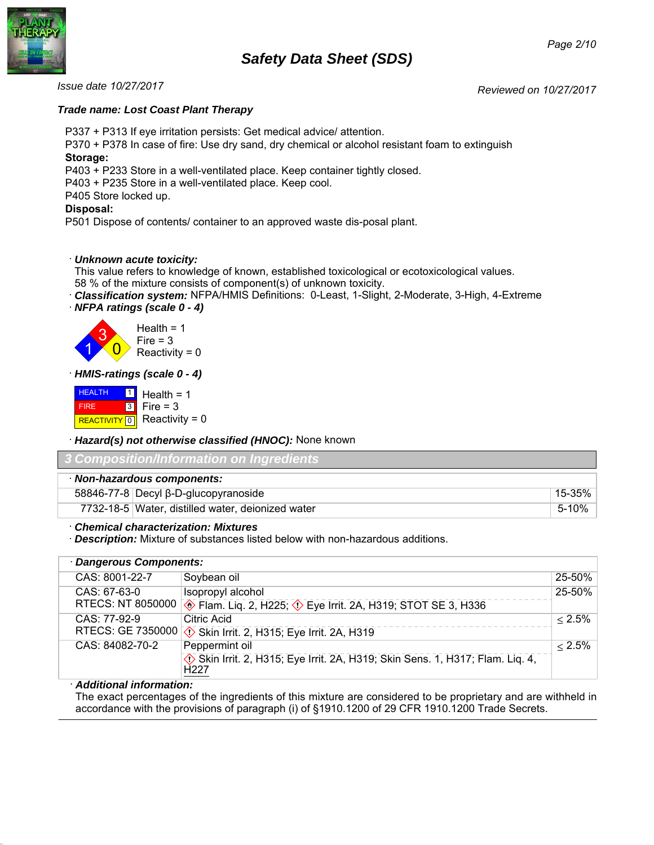# *Safety Data Sheet (SDS)*



*Reviewed on 10/27/2017 Issue date 10/27/2017*

# *Trade name: Lost Coast Plant Therapy*

P337 + P313 If eye irritation persists: Get medical advice/ attention.

P370 + P378 In case of fire: Use dry sand, dry chemical or alcohol resistant foam to extinguish **Storage:**

P403 + P233 Store in a well-ventilated place. Keep container tightly closed.

P403 + P235 Store in a well-ventilated place. Keep cool.

P405 Store locked up.

# **Disposal:**

P501 Dispose of contents/ container to an approved waste dis-posal plant.

# · *Unknown acute toxicity:*

This value refers to knowledge of known, established toxicological or ecotoxicological values.

58 % of the mixture consists of component(s) of unknown toxicity.

- · *Classification system:* NFPA/HMIS Definitions: 0-Least, 1-Slight, 2-Moderate, 3-High, 4-Extreme
- · *NFPA ratings (scale 0 4)*



· *HMIS-ratings (scale 0 - 4)*

**HEALTH**  FIRE REACTIVITY  $\boxed{0}$  Reactivity = 0  $\frac{1}{2}$  Health = 1 3  $Fire = 3$ 

· *Hazard(s) not otherwise classified (HNOC):* None known

| 3 Composition/Information on Ingredients          |        |
|---------------------------------------------------|--------|
| · Non-hazardous components:                       |        |
| $58846-77-8$ Decyl $\beta$ -D-glucopyranoside     | 15-35% |
| 7732-18-5 Water, distilled water, deionized water | 5-10%  |

· *Chemical characterization: Mixtures*

· *Description:* Mixture of substances listed below with non-hazardous additions.

| · Dangerous Components:  |                                                                                                  |           |
|--------------------------|--------------------------------------------------------------------------------------------------|-----------|
| CAS: 8001-22-7           | Soybean oil                                                                                      | 25-50%    |
| $CAS: 67-63-0$           | Isopropyl alcohol                                                                                | 25-50%    |
| RTECS: NT 8050000        | Flam. Liq. 2, H225; $\Diamond$ Eye Irrit. 2A, H319; STOT SE 3, H336                              |           |
| CAS: 77-92-9             | Citric Acid                                                                                      | $< 2.5\%$ |
| <b>RTECS: GE 7350000</b> | $\Diamond$ Skin Irrit. 2, H315; Eye Irrit. 2A, H319                                              |           |
| CAS: 84082-70-2          | Peppermint oil                                                                                   | $< 2.5\%$ |
|                          | Skin Irrit. 2, H315; Eye Irrit. 2A, H319; Skin Sens. 1, H317; Flam. Lig. 4,<br>H <sub>22</sub> 7 |           |
|                          |                                                                                                  |           |

# · *Additional information:*

The exact percentages of the ingredients of this mixture are considered to be proprietary and are withheld in accordance with the provisions of paragraph (i) of §1910.1200 of 29 CFR 1910.1200 Trade Secrets.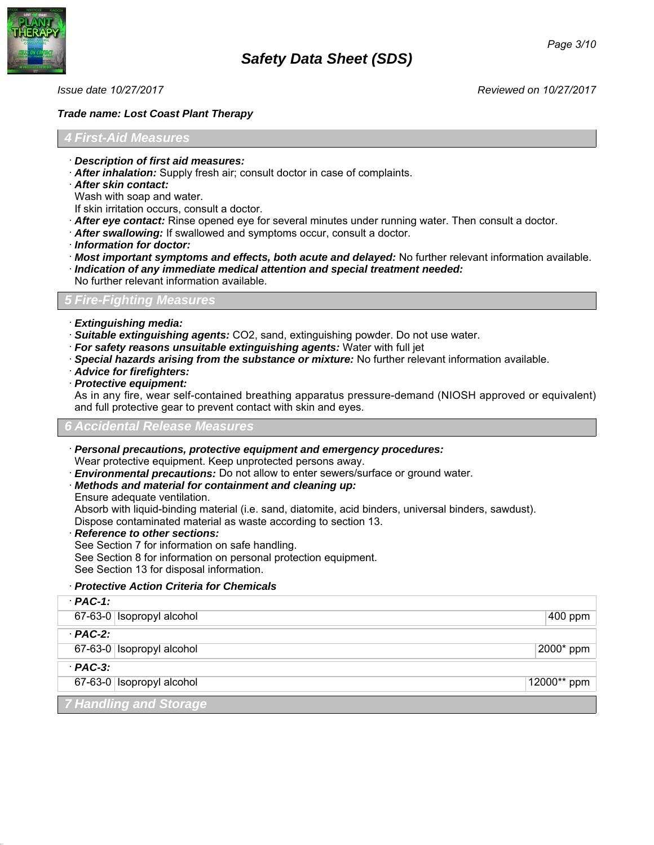

# *Trade name: Lost Coast Plant Therapy*

# *4 First-Aid Measures*

- · *Description of first aid measures:*
- · *After inhalation:* Supply fresh air; consult doctor in case of complaints.
- · *After skin contact:*

Wash with soap and water.

- If skin irritation occurs, consult a doctor.
- · *After eye contact:* Rinse opened eye for several minutes under running water. Then consult a doctor.
- · *After swallowing:* If swallowed and symptoms occur, consult a doctor.
- · *Information for doctor:*
- · *Most important symptoms and effects, both acute and delayed:* No further relevant information available.
- · *Indication of any immediate medical attention and special treatment needed:*
- No further relevant information available.

# *Measures*

- · *Extinguishing media:*
- · *Suitable extinguishing agents:* CO2, sand, extinguishing powder.
- · *For safety reasons unsuitable extinguishing agents:* Water with full jet.
- · *Special hazards arising from the substance or mixture:* No further relevant information available.
- · *Advice for firefighters:*
- · *Protective equipment:*

As in any fire, wear self-contained breathing apparatus pressure-demand (NIOSH approved or equivalent) and full protective gear to prevent contact with skin and eyes.

### *6 Accidental Release Measures*

· *Personal precautions, protective equipment and emergency procedures:*

Wear protective equipment. Keep unprotected persons away.

· *Environmental precautions:* Do not allow to enter sewers/surface or ground water.

- · *Methods and material for containment and cleaning up:*
- Ensure adequate ventilation.

Absorb with liquid-binding material (i.e. sand, diatomite, acid binders, universal binders, sawdust). Dispose contaminated material as waste according to section 13.

· *Reference to other sections:*

See Section 7 for information on safe handling. See Section 8 for information on personal protection equipment. See Section 13 for disposal information.

# · *Protective Action Criteria for Chemicals*

| $PAC-1$ :                     |             |
|-------------------------------|-------------|
| 67-63-0   Isopropyl alcohol   | 400 ppm     |
| $PAC-2$ :                     |             |
| 67-63-0 Isopropyl alcohol     | 2000* ppm   |
| $PAC-3$ :                     |             |
| 67-63-0 Isopropyl alcohol     | 12000** ppm |
| <b>7 Handling and Storage</b> |             |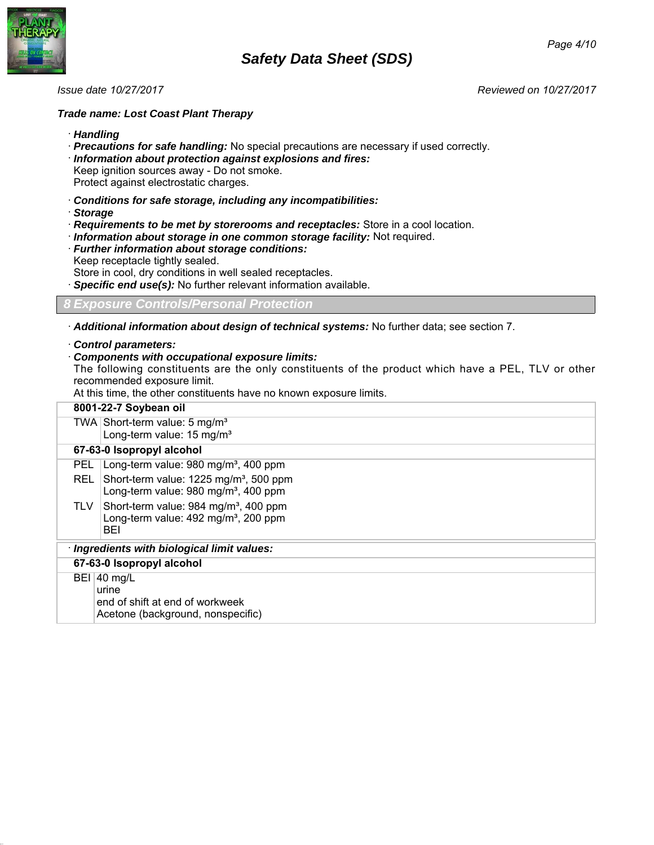



# *Trade name: Lost Coast Plant Therapy*

· *Handling*

· *Precautions for safe handling:* No special precautions are necessary if used correctly. · *Information about protection against explosions and fires:* Keep ignition sources away - Do not smoke. Protect against electrostatic charges.

- · *Conditions for safe storage, including any incompatibilities:*
- · *Storage*
- · *Requirements to be met by storerooms and receptacles:* Store in a cool location.
- · *Information about storage in one common storage facility:* Not required.
- · *Further information about storage conditions:* Keep receptacle tightly sealed.
- Store in cool, dry conditions in well sealed receptacles.
- · *Specific end use(s):* No further relevant information available.

*8 Exposure Controls/Personal Protection*

· *Additional information about design of technical systems:* No further data; see section 7.

### · *Control parameters:*

# · *Components with occupational exposure limits:*

The following constituents are the only constituents of the product which have a PEL, TLV or other recommended exposure limit.

At this time, the other constituents have no known exposure limits.

|            | 8001-22-7 Soybean oil                                                                                        |
|------------|--------------------------------------------------------------------------------------------------------------|
|            | TWA Short-term value: $5 \text{ mg/m}^3$<br>Long-term value: 15 mg/m <sup>3</sup>                            |
|            |                                                                                                              |
|            | 67-63-0 Isopropyl alcohol                                                                                    |
| <b>PEL</b> | Long-term value: 980 mg/m <sup>3</sup> , 400 ppm                                                             |
| <b>REL</b> | Short-term value: 1225 mg/m <sup>3</sup> , 500 ppm<br>Long-term value: 980 mg/m <sup>3</sup> , 400 ppm       |
| TLV        | Short-term value: 984 mg/m <sup>3</sup> , 400 ppm<br>Long-term value: 492 mg/m <sup>3</sup> , 200 ppm<br>BEI |
|            | · Ingredients with biological limit values:                                                                  |
|            | 67-63-0 Isopropyl alcohol                                                                                    |
|            | BEI 40 mg/L<br>Acetone (background, nonspecific)                                                             |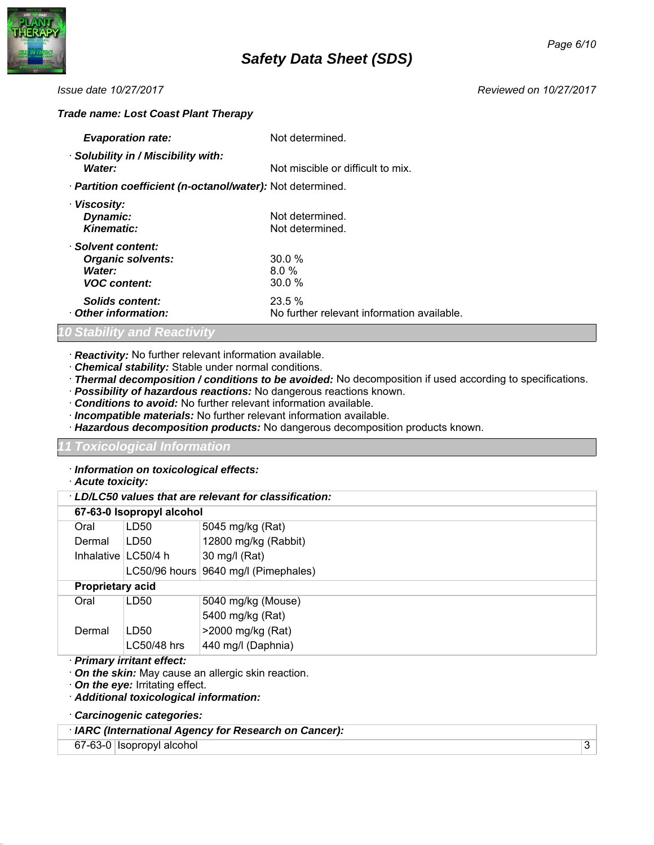

### *Trade name: Lost Coast Plant Therapy*

| <b>Evaporation rate:</b>                                                        | 1RWDDLODEOH                                                   |
|---------------------------------------------------------------------------------|---------------------------------------------------------------|
| · Solubility in / Miscibility with:<br>Water:                                   | <b>1RWDDLODEOH</b>                                            |
| · Partition coefficient (n-octanol/water): Not available                        |                                                               |
| · Viscosity:<br>Dynamic:<br>Kinematic:                                          | Not available.<br>Not available.                              |
| · Solvent content:<br><b>Organic solvents:</b><br>Water:<br><b>VOC</b> content: | 59.2 % by Volume<br>18.6 % by Volume<br>21.4 % by Volume      |
| Solids content:<br>Other information:                                           | 0.8 % by Volume<br>No further relevant information available. |

## *10 Stability and Reactivity*

- · *Reactivity:* No further relevant information available.
- · *Chemical stability:* Stable under normal conditions.
- · *Thermal decomposition / conditions to be avoided:* No decomposition if used according to specifications.
- · *Possibility of hazardous reactions:* No dangerous reactions known.
- · *Conditions to avoid:* No further relevant information available.
- · *Incompatible materials:* No further relevant information available.
- · *Hazardous decomposition products:* No dangerous decomposition products known.

### *11 Toxicological Information*

· *Information on toxicological effects:*

· *Acute toxicity:*

| LD/LC50 values that are relevant for classification: |                           |                                        |  |
|------------------------------------------------------|---------------------------|----------------------------------------|--|
|                                                      | 67-63-0 Isopropyl alcohol |                                        |  |
| Oral                                                 | LD50                      | 5045 mg/kg (Rat)                       |  |
| Dermal                                               | LD50                      | 12800 mg/kg (Rabbit)                   |  |
| Inhalative $\lfloor$ LC50/4 h                        |                           | 30 mg/l (Rat)                          |  |
|                                                      |                           | LC50/96 hours   9640 mg/l (Pimephales) |  |
|                                                      | <b>Proprietary acid</b>   |                                        |  |
| Oral                                                 | LD <sub>50</sub>          | 5040 mg/kg (Mouse)                     |  |
|                                                      |                           | 5400 mg/kg (Rat)                       |  |
| Dermal                                               | LD50                      | >2000 mg/kg (Rat)                      |  |
|                                                      | LC50/48 hrs               | 440 mg/l (Daphnia)                     |  |
| · Primary irritant effect:                           |                           |                                        |  |

· *On the skin:* May cause an allergic skin reaction.

· *On the eye:* Irritating effect.

- · *Additional toxicological information:*
- · *Carcinogenic categories:*

| · IARC (International Agency for Research on Cancer): |  |
|-------------------------------------------------------|--|
|-------------------------------------------------------|--|

67-63-0 Isopropyl alcohol 3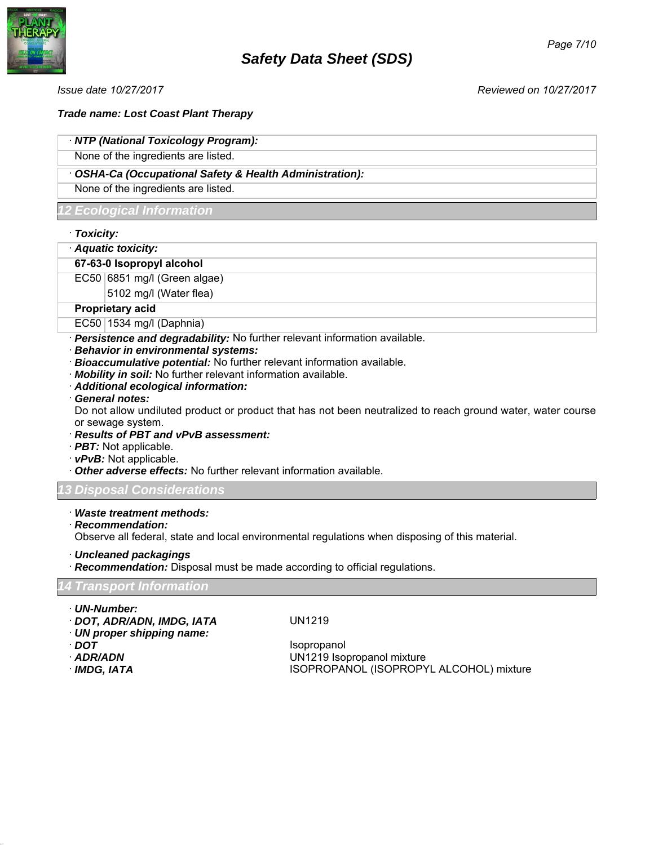

# *Trade name: Lost Coast Plant Therapy*

# · *NTP (National Toxicology Program):*

None of the ingredients are listed.

# · *OSHA-Ca (Occupational Safety & Health Administration):*

None of the ingredients are listed.

# *12 Ecological Information*

- · *Toxicity:*
- · *Aquatic toxicity:*

# **67-63-0 Isopropyl alcohol**

EC50 6851 mg/l (Green algae)

5102 mg/l (Water flea)

### **Proprietary acid**

EC50 1534 mg/l (Daphnia)

- · *Persistence and degradability:* No further relevant information available.
- · *Behavior in environmental systems:*
- · *Bioaccumulative potential:* No further relevant information available.
- · *Mobility in soil:* No further relevant information available.
- · *Additional ecological information:*
- · *General notes:*

Do not allow undiluted product or product that has not been neutralized to reach ground water, water course or sewage system.

- · *Results of PBT and vPvB assessment:*
- · *PBT:* Not applicable.
- · *vPvB:* Not applicable.
- · *Other adverse effects:* No further relevant information available.

# *13 Disposal Considerations*

### · *Waste treatment methods:*

· *Recommendation:*

Observe all federal, state and local environmental regulations when disposing of this material.

- · *Uncleaned packagings*
- · *Recommendation:* Disposal must be made according to official regulations.

# *14 Transport Information*

- · *UN-Number:*
- · *DOT, ADR/ADN, IMDG, IATA*
- · *UN proper shipping name:*
- · *US DOT*
- · *ADR/ADN*
- 

UN1219

Isopropanol UN1219 Isopropanol mixture **ISOPROPANOL (ISOPROPYL ALCOHOL) mixture**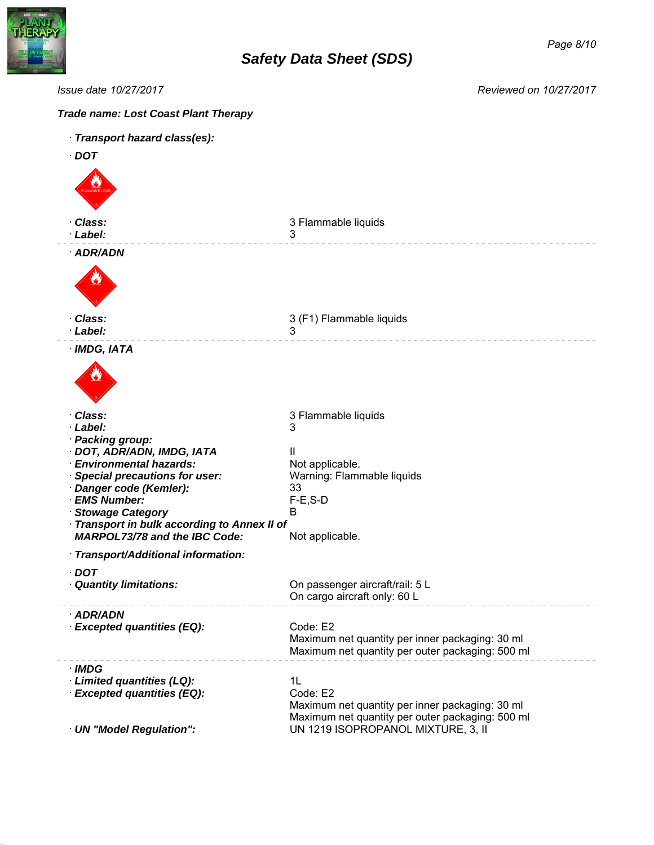

| Issue date 10/27/2017<br>Reviewed on 10/27/2017                                                      |                                                                                                                 |  |
|------------------------------------------------------------------------------------------------------|-----------------------------------------------------------------------------------------------------------------|--|
| <b>Trade name: Lost Coast Plant Therapy</b>                                                          |                                                                                                                 |  |
| · Transport hazard class(es):                                                                        |                                                                                                                 |  |
| · US DOT                                                                                             |                                                                                                                 |  |
|                                                                                                      |                                                                                                                 |  |
| · Class:<br>· Label:                                                                                 | 3 Flammable liquids<br>3                                                                                        |  |
| · ADR/ADN                                                                                            |                                                                                                                 |  |
|                                                                                                      |                                                                                                                 |  |
| · Class:<br>· Label:                                                                                 | 3 (F1) Flammable liquids<br>3                                                                                   |  |
| · IMDG, IATA                                                                                         |                                                                                                                 |  |
|                                                                                                      |                                                                                                                 |  |
| · Class:<br>· Label:                                                                                 | 3 Flammable liquids<br>3                                                                                        |  |
| · Packing group:                                                                                     |                                                                                                                 |  |
| · DOT, ADR/ADN, IMDG, IATA<br>· Environmental hazards:                                               | Ш<br>Not applicable.                                                                                            |  |
| · Special precautions for user:                                                                      | Warning: Flammable liquids 33                                                                                   |  |
| · Danger code (Kemler):                                                                              | $F-E$ , $S-D$                                                                                                   |  |
| · EMS Number:<br>· Stowage Category                                                                  | B                                                                                                               |  |
| · Transport in bulk according to Annex II of Not applicable.<br><b>MARPOL73/78 and the IBC Code:</b> |                                                                                                                 |  |
| · Transport/Additional information:                                                                  |                                                                                                                 |  |
| $\cdot$ DOT<br>· Quantity limitations:                                                               | On passenger aircraft/rail: 5 L On cargo aircraft only: 60 L                                                    |  |
| · Limited Quantity:                                                                                  | 1L                                                                                                              |  |
| · ADR/ADN                                                                                            |                                                                                                                 |  |
| <b>Excepted quantities (EQ):</b>                                                                     | Code: E2<br>Maximum net quantity per inner packaging: 30 ml<br>Maximum net quantity per outer packaging: 500 ml |  |
| $\cdot$ IMDG                                                                                         |                                                                                                                 |  |
| · Limited quantities (LQ):<br>· Excepted quantities (EQ):                                            | 1L<br>Code: E2                                                                                                  |  |
|                                                                                                      | Maximum net quantity per inner packaging: 30 ml                                                                 |  |
| · UN "Model Regulation":                                                                             | Maximum net quantity per outer packaging: 500 ml<br>UN 1219 ISOPROPANOL MIXTURE, 3, II                          |  |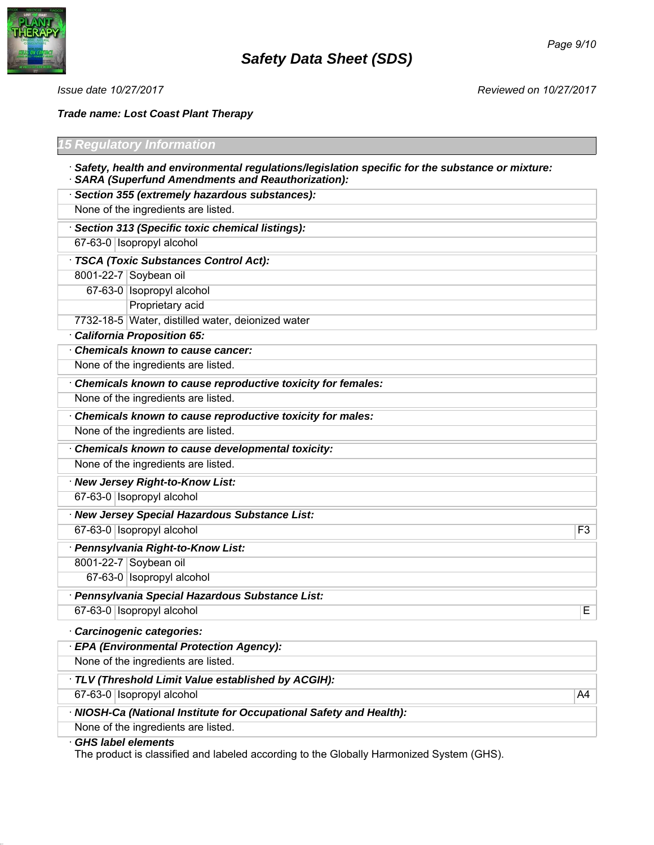

*Trade name: Lost Coast Plant Therapy*

| <b>5 Regulatory Information</b>                                                                                                                              |                |
|--------------------------------------------------------------------------------------------------------------------------------------------------------------|----------------|
| · Safety, health and environmental regulations/legislation specific for the substance or mixture:<br><b>SARA (Superfund Amendments and Reauthorization):</b> |                |
| Section 355 (extremely hazardous substances):                                                                                                                |                |
| None of the ingredients are listed.                                                                                                                          |                |
| Section 313 (Specific toxic chemical listings):                                                                                                              |                |
| 67-63-0 Isopropyl alcohol                                                                                                                                    |                |
| TSCA (Toxic Substances Control Act):                                                                                                                         |                |
| 8001-22-7 Soybean oil                                                                                                                                        |                |
| 67-63-0 Isopropyl alcohol                                                                                                                                    |                |
| Proprietary acid                                                                                                                                             |                |
| 7732-18-5 Water, distilled water, deionized water                                                                                                            |                |
| <b>California Proposition 65:</b>                                                                                                                            |                |
| Chemicals known to cause cancer:                                                                                                                             |                |
| None of the ingredients are listed.                                                                                                                          |                |
| Chemicals known to cause reproductive toxicity for females:                                                                                                  |                |
| None of the ingredients are listed.                                                                                                                          |                |
| Chemicals known to cause reproductive toxicity for males:                                                                                                    |                |
| None of the ingredients are listed.                                                                                                                          |                |
| Chemicals known to cause developmental toxicity:                                                                                                             |                |
| None of the ingredients are listed.                                                                                                                          |                |
| · New Jersey Right-to-Know List:                                                                                                                             |                |
| 67-63-0 Isopropyl alcohol                                                                                                                                    |                |
| · New Jersey Special Hazardous Substance List:                                                                                                               |                |
| 67-63-0 Isopropyl alcohol                                                                                                                                    | F <sub>3</sub> |
| · Pennsylvania Right-to-Know List:                                                                                                                           |                |
| 8001-22-7 Soybean oil                                                                                                                                        |                |
| 67-63-0 Isopropyl alcohol                                                                                                                                    |                |
| · Pennsylvania Special Hazardous Substance List:                                                                                                             |                |
| 67-63-0   Isopropyl alcohol                                                                                                                                  | Е              |
| · Carcinogenic categories:                                                                                                                                   |                |
| <b>EPA (Environmental Protection Agency):</b>                                                                                                                |                |
| None of the ingredients are listed.                                                                                                                          |                |
| · TLV (Threshold Limit Value established by ACGIH):                                                                                                          |                |
| 67-63-0 Isopropyl alcohol                                                                                                                                    | A4             |
| · NIOSH-Ca (National Institute for Occupational Safety and Health):                                                                                          |                |
| None of the ingredients are listed.                                                                                                                          |                |
| CHS label elements                                                                                                                                           |                |

· *GHS label elements*

The product is classified and labeled according to the Globally Harmonized System (GHS).